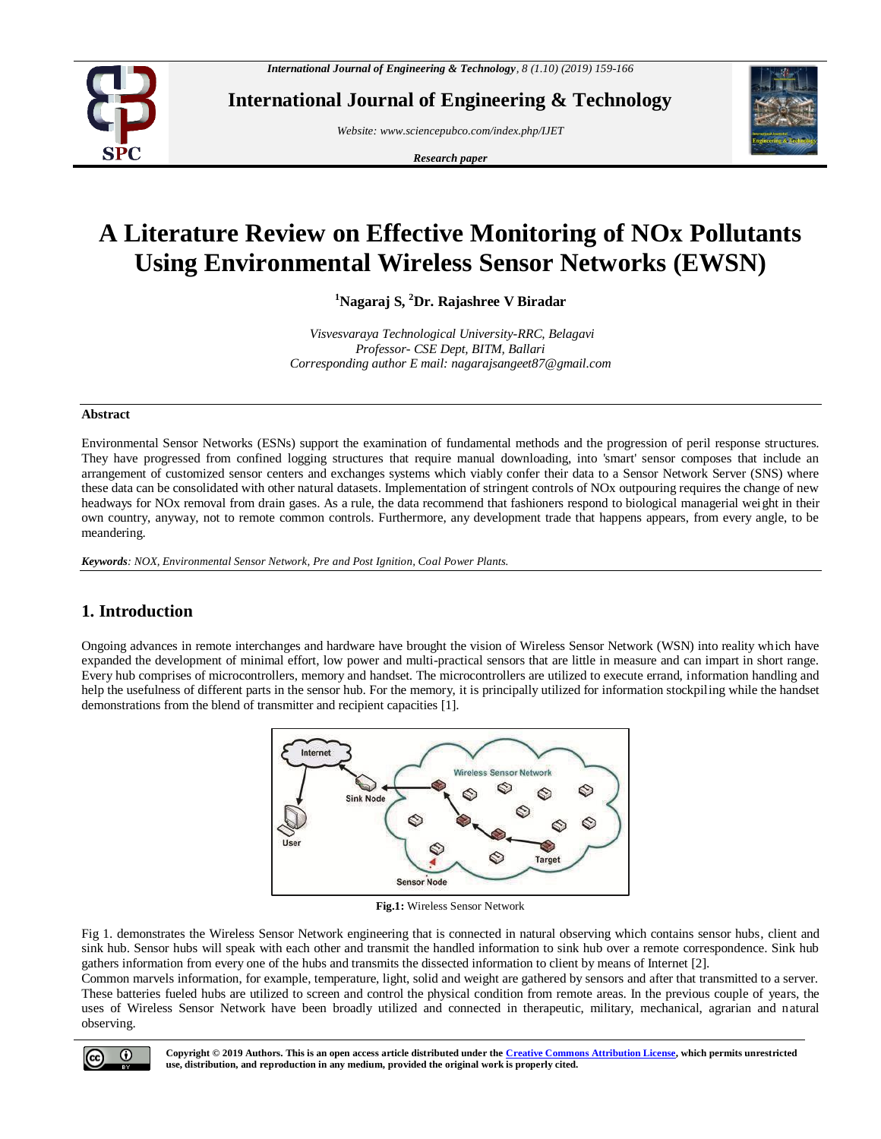

**International Journal of Engineering & Technology**

*Website[: www.sciencepubco.com/index.php/IJET](http://www.sciencepubco.com/index.php/IJET)*

*Research paper*



# **A Literature Review on Effective Monitoring of NOx Pollutants Using Environmental Wireless Sensor Networks (EWSN)**

**<sup>1</sup>Nagaraj S, <sup>2</sup>Dr. Rajashree V Biradar**

*Visvesvaraya Technological University-RRC, Belagavi Professor- CSE Dept, BITM, Ballari Corresponding author E mail: nagarajsangeet87@gmail.com*

### **Abstract**

Environmental Sensor Networks (ESNs) support the examination of fundamental methods and the progression of peril response structures. They have progressed from confined logging structures that require manual downloading, into 'smart' sensor composes that include an arrangement of customized sensor centers and exchanges systems which viably confer their data to a Sensor Network Server (SNS) where these data can be consolidated with other natural datasets. Implementation of stringent controls of NOx outpouring requires the change of new headways for NOx removal from drain gases. As a rule, the data recommend that fashioners respond to biological managerial weight in their own country, anyway, not to remote common controls. Furthermore, any development trade that happens appears, from every angle, to be meandering.

*Keywords: NOX, Environmental Sensor Network, Pre and Post Ignition, Coal Power Plants.*

# **1. Introduction**

Ongoing advances in remote interchanges and hardware have brought the vision of Wireless Sensor Network (WSN) into reality which have expanded the development of minimal effort, low power and multi-practical sensors that are little in measure and can impart in short range. Every hub comprises of microcontrollers, memory and handset. The microcontrollers are utilized to execute errand, information handling and help the usefulness of different parts in the sensor hub. For the memory, it is principally utilized for information stockpiling while the handset demonstrations from the blend of transmitter and recipient capacities [1].



**Fig.1:** Wireless Sensor Network

Fig 1. demonstrates the Wireless Sensor Network engineering that is connected in natural observing which contains sensor hubs, client and sink hub. Sensor hubs will speak with each other and transmit the handled information to sink hub over a remote correspondence. Sink hub gathers information from every one of the hubs and transmits the dissected information to client by means of Internet [2].

Common marvels information, for example, temperature, light, solid and weight are gathered by sensors and after that transmitted to a server. These batteries fueled hubs are utilized to screen and control the physical condition from remote areas. In the previous couple of years, the uses of Wireless Sensor Network have been broadly utilized and connected in therapeutic, military, mechanical, agrarian and natural observing.

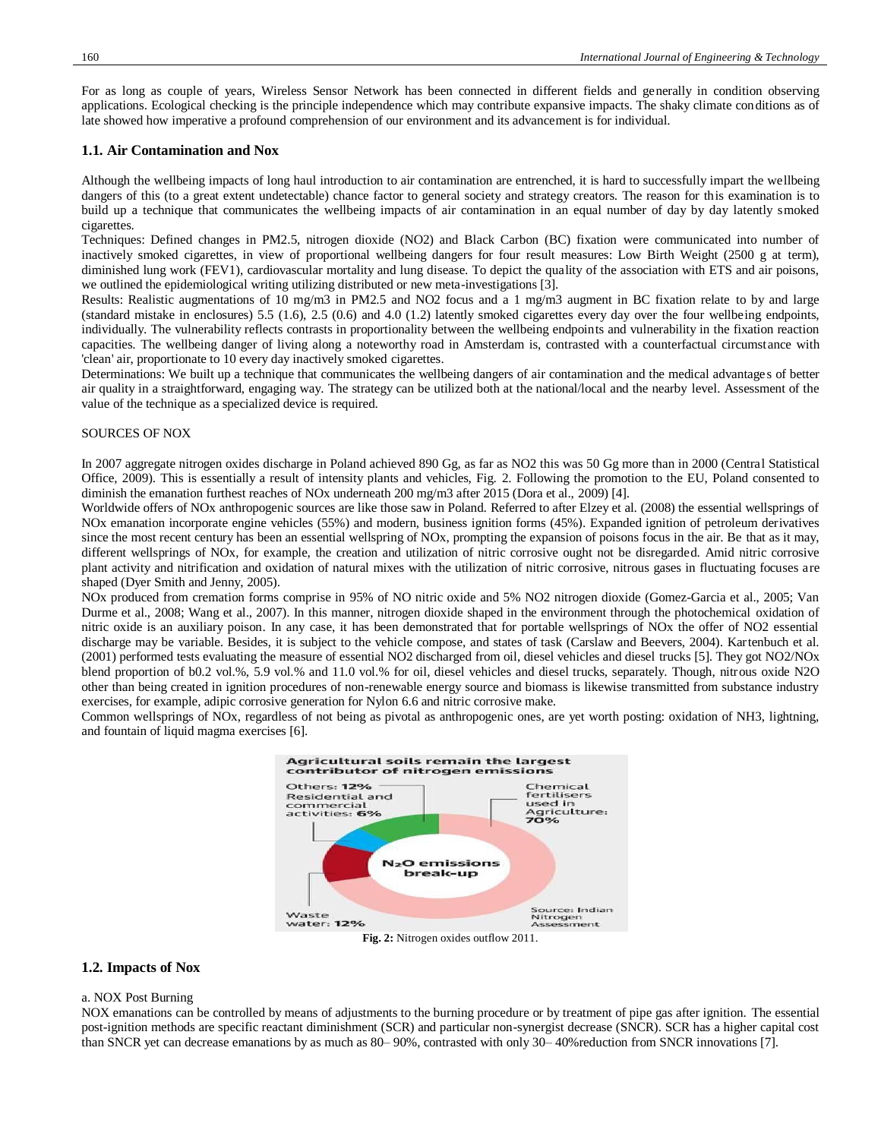For as long as couple of years, Wireless Sensor Network has been connected in different fields and generally in condition observing applications. Ecological checking is the principle independence which may contribute expansive impacts. The shaky climate conditions as of late showed how imperative a profound comprehension of our environment and its advancement is for individual.

#### **1.1. Air Contamination and Nox**

Although the wellbeing impacts of long haul introduction to air contamination are entrenched, it is hard to successfully impart the wellbeing dangers of this (to a great extent undetectable) chance factor to general society and strategy creators. The reason for this examination is to build up a technique that communicates the wellbeing impacts of air contamination in an equal number of day by day latently smoked cigarettes.

Techniques: Defined changes in PM2.5, nitrogen dioxide (NO2) and Black Carbon (BC) fixation were communicated into number of inactively smoked cigarettes, in view of proportional wellbeing dangers for four result measures: Low Birth Weight (2500 g at term), diminished lung work (FEV1), cardiovascular mortality and lung disease. To depict the quality of the association with ETS and air poisons, we outlined the epidemiological writing utilizing distributed or new meta-investigations [3].

Results: Realistic augmentations of 10 mg/m3 in PM2.5 and NO2 focus and a 1 mg/m3 augment in BC fixation relate to by and large (standard mistake in enclosures) 5.5 (1.6), 2.5 (0.6) and 4.0 (1.2) latently smoked cigarettes every day over the four wellbeing endpoints, individually. The vulnerability reflects contrasts in proportionality between the wellbeing endpoints and vulnerability in the fixation reaction capacities. The wellbeing danger of living along a noteworthy road in Amsterdam is, contrasted with a counterfactual circumstance with 'clean' air, proportionate to 10 every day inactively smoked cigarettes.

Determinations: We built up a technique that communicates the wellbeing dangers of air contamination and the medical advantages of better air quality in a straightforward, engaging way. The strategy can be utilized both at the national/local and the nearby level. Assessment of the value of the technique as a specialized device is required.

#### SOURCES OF NOX

In 2007 aggregate nitrogen oxides discharge in Poland achieved 890 Gg, as far as NO2 this was 50 Gg more than in 2000 (Central Statistical Office, 2009). This is essentially a result of intensity plants and vehicles, Fig. 2. Following the promotion to the EU, Poland consented to diminish the emanation furthest reaches of NOx underneath 200 mg/m3 after 2015 (Dora et al., 2009) [4].

Worldwide offers of NOx anthropogenic sources are like those saw in Poland. Referred to after Elzey et al. (2008) the essential wellsprings of NOx emanation incorporate engine vehicles (55%) and modern, business ignition forms (45%). Expanded ignition of petroleum derivatives since the most recent century has been an essential wellspring of NOx, prompting the expansion of poisons focus in the air. Be that as it may, different wellsprings of NOx, for example, the creation and utilization of nitric corrosive ought not be disregarded. Amid nitric corrosive plant activity and nitrification and oxidation of natural mixes with the utilization of nitric corrosive, nitrous gases in fluctuating focuses are shaped (Dyer Smith and Jenny, 2005).

NOx produced from cremation forms comprise in 95% of NO nitric oxide and 5% NO2 nitrogen dioxide (Gomez-Garcia et al., 2005; Van Durme et al., 2008; Wang et al., 2007). In this manner, nitrogen dioxide shaped in the environment through the photochemical oxidation of nitric oxide is an auxiliary poison. In any case, it has been demonstrated that for portable wellsprings of NOx the offer of NO2 essential discharge may be variable. Besides, it is subject to the vehicle compose, and states of task (Carslaw and Beevers, 2004). Kartenbuch et al. (2001) performed tests evaluating the measure of essential NO2 discharged from oil, diesel vehicles and diesel trucks [5]. They got NO2/NOx blend proportion of b0.2 vol.%, 5.9 vol.% and 11.0 vol.% for oil, diesel vehicles and diesel trucks, separately. Though, nitrous oxide N2O other than being created in ignition procedures of non-renewable energy source and biomass is likewise transmitted from substance industry exercises, for example, adipic corrosive generation for Nylon 6.6 and nitric corrosive make.

Common wellsprings of NOx, regardless of not being as pivotal as anthropogenic ones, are yet worth posting: oxidation of NH3, lightning, and fountain of liquid magma exercises [6].



**Fig. 2:** Nitrogen oxides outflow 2011.

## **1.2. Impacts of Nox**

#### a. NOX Post Burning

NOX emanations can be controlled by means of adjustments to the burning procedure or by treatment of pipe gas after ignition. The essential post-ignition methods are specific reactant diminishment (SCR) and particular non-synergist decrease (SNCR). SCR has a higher capital cost than SNCR yet can decrease emanations by as much as 80– 90%, contrasted with only 30– 40%reduction from SNCR innovations [7].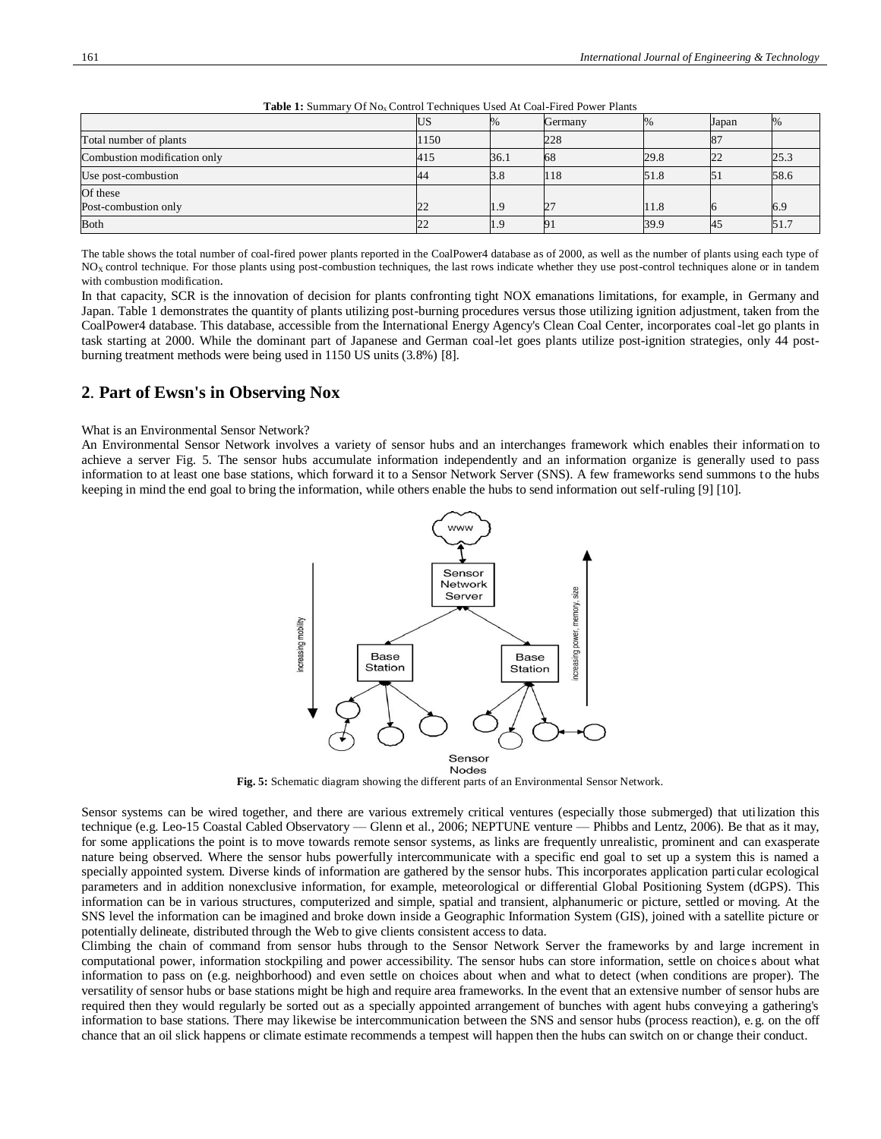|                              | US.  | %    | Germany | $\%$ | Japan | %    |
|------------------------------|------|------|---------|------|-------|------|
| Total number of plants       | 1150 |      | 228     |      | ι8.   |      |
| Combustion modification only | 415  | 36.1 | 68      | 29.8 | 22    | 25.3 |
| Use post-combustion          | 44   | 3.8  | 118     | 51.8 | 51    | 58.6 |
| Of these                     |      |      |         |      |       |      |
| Post-combustion only         | 22   | 1.9  |         | 11.8 |       | 6.9  |
| <b>Both</b>                  | 22   | 1.9  |         | 39.9 | 45    | 51.  |

Table 1: Summary Of No<sub>x</sub> Control Techniques Used At Coal-Fired Power Plants

The table shows the total number of coal-fired power plants reported in the CoalPower4 database as of 2000, as well as the number of plants using each type of NO<sub>x</sub> control technique. For those plants using post-combustion techniques, the last rows indicate whether they use post-control techniques alone or in tandem with combustion modification.

In that capacity, SCR is the innovation of decision for plants confronting tight NOX emanations limitations, for example, in Germany and Japan. Table 1 demonstrates the quantity of plants utilizing post-burning procedures versus those utilizing ignition adjustment, taken from the CoalPower4 database. This database, accessible from the International Energy Agency's Clean Coal Center, incorporates coal-let go plants in task starting at 2000. While the dominant part of Japanese and German coal-let goes plants utilize post-ignition strategies, only 44 postburning treatment methods were being used in 1150 US units (3.8%) [8].

## **2**. **Part of Ewsn's in Observing Nox**

### What is an Environmental Sensor Network?

An Environmental Sensor Network involves a variety of sensor hubs and an interchanges framework which enables their information to achieve a server Fig. 5. The sensor hubs accumulate information independently and an information organize is generally used to pass information to at least one base stations, which forward it to a Sensor Network Server (SNS). A few frameworks send summons to the hubs keeping in mind the end goal to bring the information, while others enable the hubs to send information out self-ruling [9] [10].



**Fig. 5:** Schematic diagram showing the different parts of an Environmental Sensor Network.

Sensor systems can be wired together, and there are various extremely critical ventures (especially those submerged) that utilization this technique (e.g. Leo-15 Coastal Cabled Observatory — Glenn et al., 2006; NEPTUNE venture — Phibbs and Lentz, 2006). Be that as it may, for some applications the point is to move towards remote sensor systems, as links are frequently unrealistic, prominent and can exasperate nature being observed. Where the sensor hubs powerfully intercommunicate with a specific end goal to set up a system this is named a specially appointed system. Diverse kinds of information are gathered by the sensor hubs. This incorporates application parti cular ecological parameters and in addition nonexclusive information, for example, meteorological or differential Global Positioning System (dGPS). This information can be in various structures, computerized and simple, spatial and transient, alphanumeric or picture, settled or moving. At the SNS level the information can be imagined and broke down inside a Geographic Information System (GIS), joined with a satellite picture or potentially delineate, distributed through the Web to give clients consistent access to data.

Climbing the chain of command from sensor hubs through to the Sensor Network Server the frameworks by and large increment in computational power, information stockpiling and power accessibility. The sensor hubs can store information, settle on choices about what information to pass on (e.g. neighborhood) and even settle on choices about when and what to detect (when conditions are proper). The versatility of sensor hubs or base stations might be high and require area frameworks. In the event that an extensive number of sensor hubs are required then they would regularly be sorted out as a specially appointed arrangement of bunches with agent hubs conveying a gathering's information to base stations. There may likewise be intercommunication between the SNS and sensor hubs (process reaction), e.g. on the off chance that an oil slick happens or climate estimate recommends a tempest will happen then the hubs can switch on or change their conduct.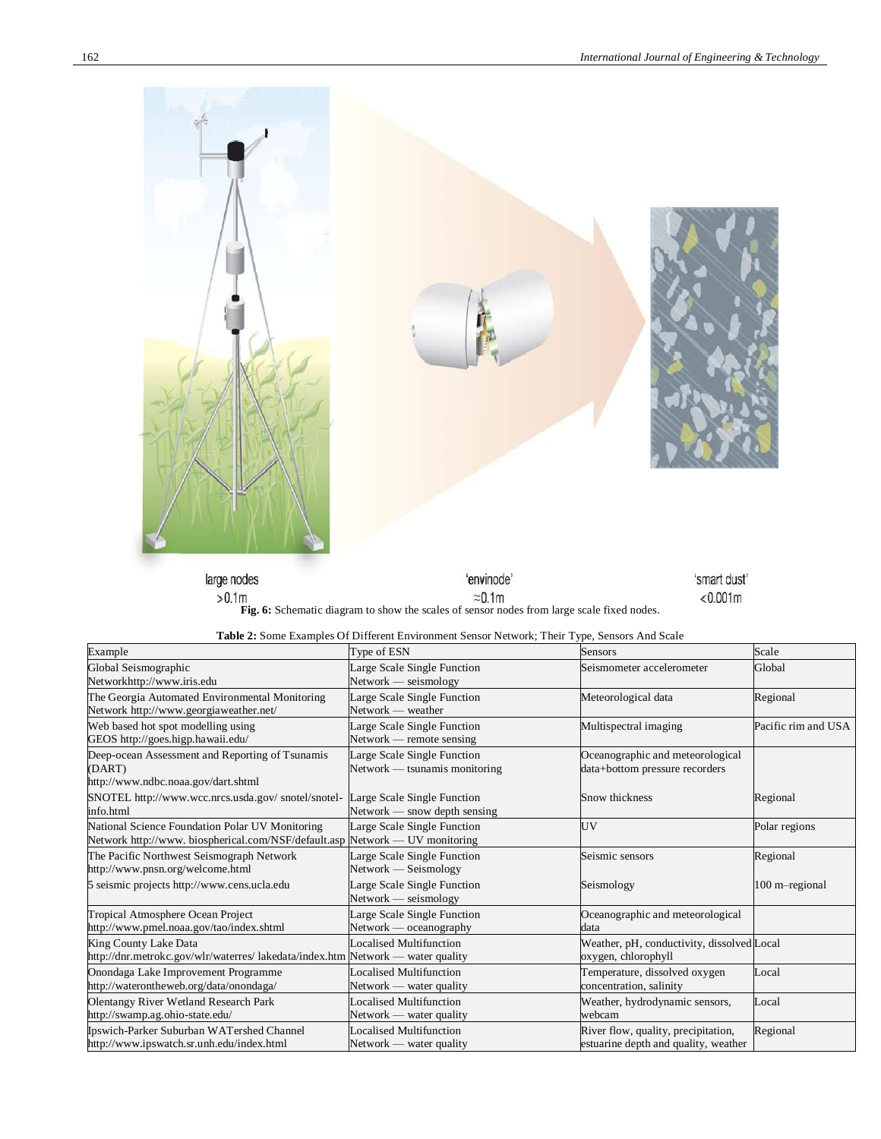$< 0.001m$ 



large nodes 'envinode' >0.1m<br>**Fig. 6:** Schematic diagram to show the scales of sensor nodes from large scale fixed nodes.

| Table 2: Some Examples Of Different Environment Sensor Network; Their Type, Sensors And Scale |  |
|-----------------------------------------------------------------------------------------------|--|
|-----------------------------------------------------------------------------------------------|--|

| Example                                                                                                                        | Type of ESN                                                   | Sensors                                                                     | Scale               |
|--------------------------------------------------------------------------------------------------------------------------------|---------------------------------------------------------------|-----------------------------------------------------------------------------|---------------------|
| Global Seismographic<br>Networkhttp://www.iris.edu                                                                             | Large Scale Single Function<br>Network - seismology           | Seismometer accelerometer                                                   | Global              |
| The Georgia Automated Environmental Monitoring<br>Network http://www.georgiaweather.net/                                       | Large Scale Single Function<br>Network — weather              | Meteorological data                                                         | Regional            |
| Web based hot spot modelling using<br>GEOS http://goes.higp.hawaii.edu/                                                        | Large Scale Single Function<br>Network — remote sensing       | Multispectral imaging                                                       | Pacific rim and USA |
| Deep-ocean Assessment and Reporting of Tsunamis<br>(DART)<br>http://www.ndbc.noaa.gov/dart.shtml                               | Large Scale Single Function<br>Network — tsunamis monitoring  | Oceanographic and meteorological<br>data+bottom pressure recorders          |                     |
| SNOTEL http://www.wcc.nrcs.usda.gov/ snotel/snotel-<br>info.html                                                               | Large Scale Single Function<br>$Network$ — snow depth sensing | Snow thickness                                                              | Regional            |
| National Science Foundation Polar UV Monitoring<br>Network http://www.biospherical.com/NSF/default.asp Network — UV monitoring | Large Scale Single Function                                   | UV                                                                          | Polar regions       |
| The Pacific Northwest Seismograph Network<br>http://www.pnsn.org/welcome.html                                                  | Large Scale Single Function<br>Network — Seismology           | Seismic sensors                                                             | Regional            |
| 5 seismic projects http://www.cens.ucla.edu                                                                                    | Large Scale Single Function<br>$Network - seismology$         | Seismology                                                                  | 100 m-regional      |
| Tropical Atmosphere Ocean Project<br>http://www.pmel.noaa.gov/tao/index.shtml                                                  | Large Scale Single Function<br>$Network$ — oceanography       | Oceanographic and meteorological<br>data                                    |                     |
| King County Lake Data<br>http://dnr.metrokc.gov/wlr/waterres/ lakedata/index.htm Network — water quality                       | Localised Multifunction                                       | Weather, pH, conductivity, dissolved Local<br>oxygen, chlorophyll           |                     |
| Onondaga Lake Improvement Programme<br>http://waterontheweb.org/data/onondaga/                                                 | <b>Localised Multifunction</b><br>Network — water quality     | Temperature, dissolved oxygen<br>concentration, salinity                    | Local               |
| <b>Olentangy River Wetland Research Park</b><br>http://swamp.ag.ohio-state.edu/                                                | Localised Multifunction<br>Network — water quality            | Weather, hydrodynamic sensors,<br>webcam                                    | Local               |
| Ipswich-Parker Suburban WATershed Channel<br>http://www.ipswatch.sr.unh.edu/index.html                                         | <b>Localised Multifunction</b><br>Network — water quality     | River flow, quality, precipitation,<br>estuarine depth and quality, weather | Regional            |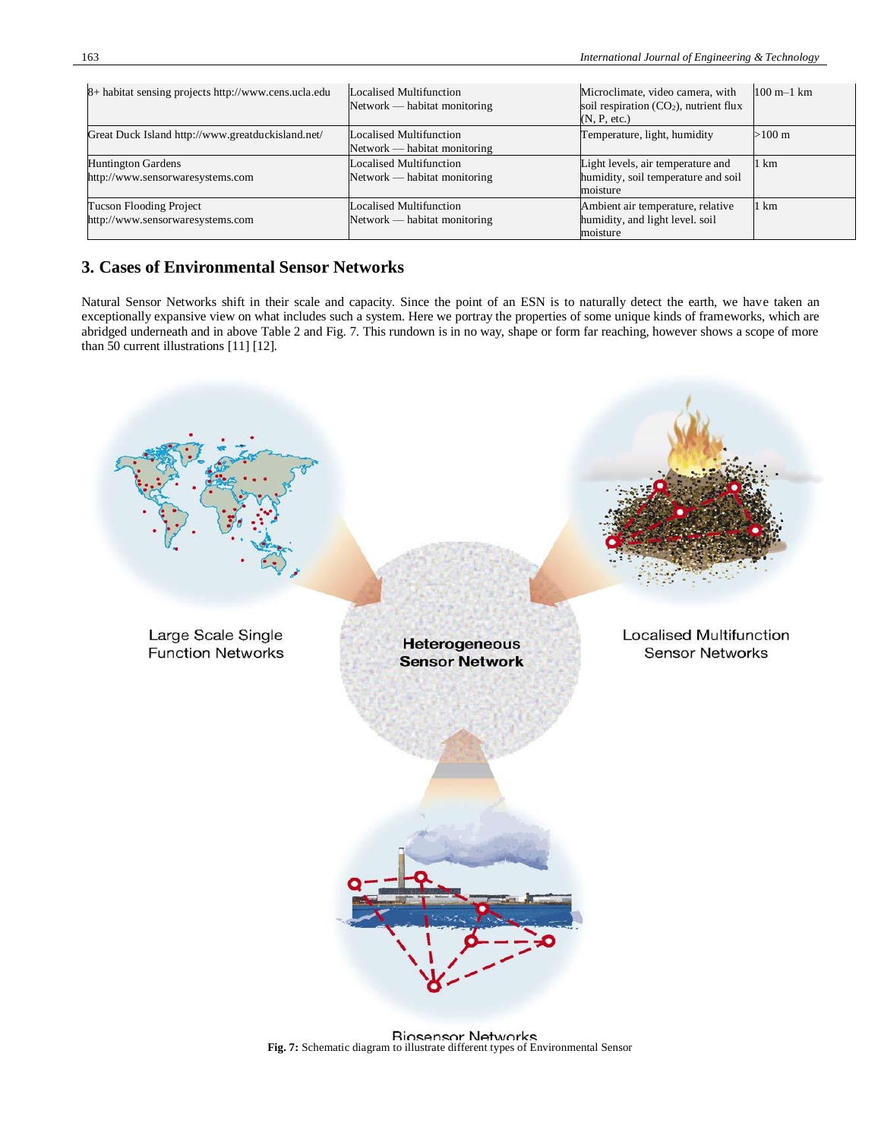| 8+ habitat sensing projects http://www.cens.ucla.edu          | <b>Localised Multifunction</b><br>Network — habitat monitoring | Microclimate, video camera, with<br>soil respiration $(CO_2)$ , nutrient flux<br>(N, P, etc.) | $100 \text{ m} - 1 \text{ km}$ |
|---------------------------------------------------------------|----------------------------------------------------------------|-----------------------------------------------------------------------------------------------|--------------------------------|
| Great Duck Island http://www.greatduckisland.net/             | Localised Multifunction<br>Network — habitat monitoring        | Temperature, light, humidity                                                                  | $>100 \text{ m}$               |
| <b>Huntington Gardens</b><br>http://www.sensorwaresystems.com | <b>Localised Multifunction</b><br>Network — habitat monitoring | Light levels, air temperature and<br>humidity, soil temperature and soil<br>moisture          | 1 km                           |
| Tucson Flooding Project<br>http://www.sensorwaresystems.com   | Localised Multifunction<br>Network — habitat monitoring        | Ambient air temperature, relative<br>humidity, and light level. soil<br>moisture              | 1 km                           |

# **3. Cases of Environmental Sensor Networks**

Natural Sensor Networks shift in their scale and capacity. Since the point of an ESN is to naturally detect the earth, we have taken an exceptionally expansive view on what includes such a system. Here we portray the properties of some unique kinds of frameworks, which are abridged underneath and in above Table 2 and Fig. 7. This rundown is in no way, shape or form far reaching, however shows a scope of more than 50 current illustrations [11] [12].



**Fig. 7:** Schematic diagram to illustrate different types of Environmental Sensor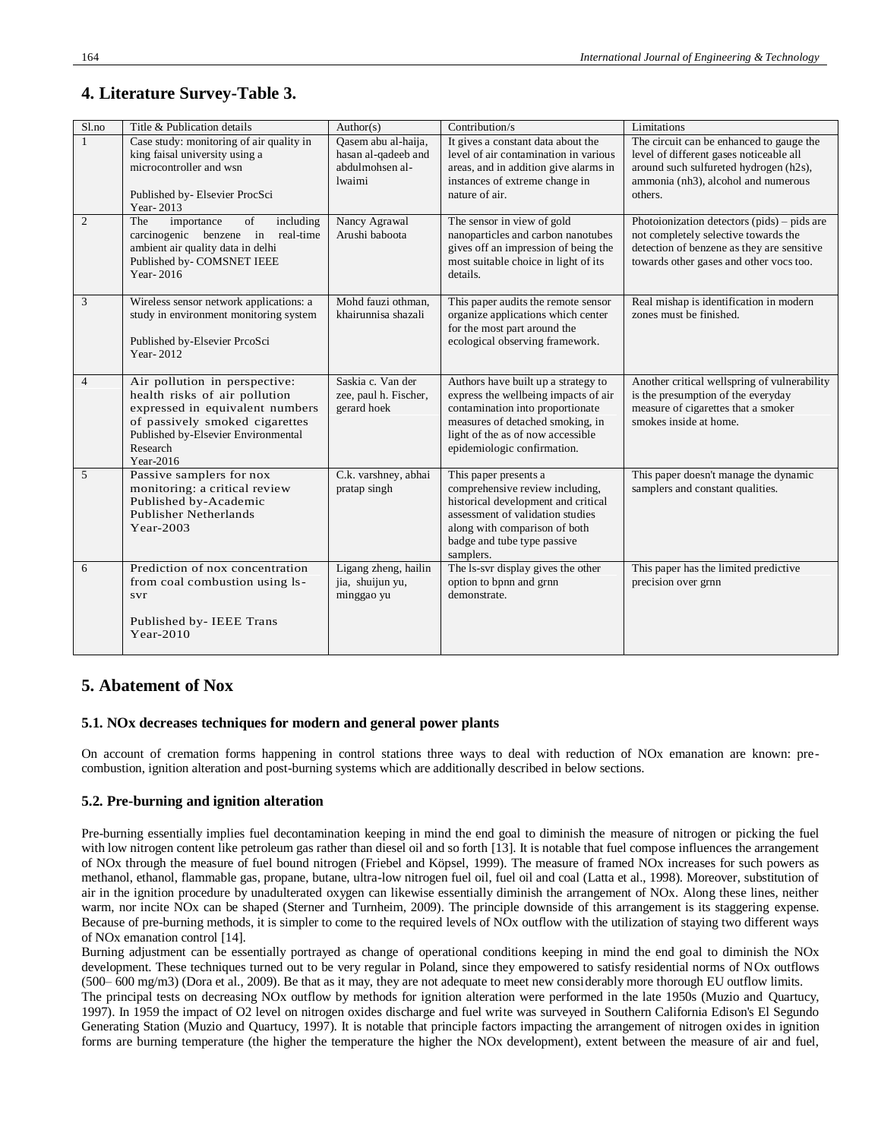# **4. Literature Survey-Table 3.**

| S1.no          | Title & Publication details                                                                                                                                                                         | Author(s)                                                               | Contribution/s                                                                                                                                                                                                          | Limitations                                                                                                                                                                     |
|----------------|-----------------------------------------------------------------------------------------------------------------------------------------------------------------------------------------------------|-------------------------------------------------------------------------|-------------------------------------------------------------------------------------------------------------------------------------------------------------------------------------------------------------------------|---------------------------------------------------------------------------------------------------------------------------------------------------------------------------------|
| $\mathbf{1}$   | Case study: monitoring of air quality in<br>king faisal university using a<br>microcontroller and wsn<br>Published by-Elsevier ProcSci<br>Year-2013                                                 | Qasem abu al-haija,<br>hasan al-qadeeb and<br>abdulmohsen al-<br>lwaimi | It gives a constant data about the<br>level of air contamination in various<br>areas, and in addition give alarms in<br>instances of extreme change in<br>nature of air.                                                | The circuit can be enhanced to gauge the<br>level of different gases noticeable all<br>around such sulfureted hydrogen (h2s),<br>ammonia (nh3), alcohol and numerous<br>others. |
| $\overline{c}$ | of<br>The<br>importance<br>including<br>carcinogenic benzene in real-time<br>ambient air quality data in delhi<br>Published by- COMSNET IEEE<br>Year-2016                                           | Nancy Agrawal<br>Arushi baboota                                         | The sensor in view of gold<br>nanoparticles and carbon nanotubes<br>gives off an impression of being the<br>most suitable choice in light of its<br>details.                                                            | Photoionization detectors $(pids)$ – pids are<br>not completely selective towards the<br>detection of benzene as they are sensitive<br>towards other gases and other vocs too.  |
| 3              | Wireless sensor network applications: a<br>study in environment monitoring system<br>Published by-Elsevier PrcoSci<br>Year-2012                                                                     | Mohd fauzi othman,<br>khairunnisa shazali                               | This paper audits the remote sensor<br>organize applications which center<br>for the most part around the<br>ecological observing framework.                                                                            | Real mishap is identification in modern<br>zones must be finished.                                                                                                              |
| $\overline{4}$ | Air pollution in perspective:<br>health risks of air pollution<br>expressed in equivalent numbers<br>of passively smoked cigarettes<br>Published by-Elsevier Environmental<br>Research<br>Year-2016 | Saskia c. Van der<br>zee, paul h. Fischer,<br>gerard hoek               | Authors have built up a strategy to<br>express the wellbeing impacts of air<br>contamination into proportionate<br>measures of detached smoking, in<br>light of the as of now accessible<br>epidemiologic confirmation. | Another critical wellspring of vulnerability<br>is the presumption of the everyday<br>measure of cigarettes that a smoker<br>smokes inside at home.                             |
| 5              | Passive samplers for nox<br>monitoring: a critical review<br>Published by-Academic<br>Publisher Netherlands<br>Year-2003                                                                            | C.k. varshney, abhai<br>pratap singh                                    | This paper presents a<br>comprehensive review including,<br>historical development and critical<br>assessment of validation studies<br>along with comparison of both<br>badge and tube type passive<br>samplers.        | This paper doesn't manage the dynamic<br>samplers and constant qualities.                                                                                                       |
| 6              | Prediction of nox concentration<br>from coal combustion using ls-<br>svr<br>Published by- IEEE Trans<br>$Year-2010$                                                                                 | Ligang zheng, hailin<br>jia, shuijun yu,<br>minggao yu                  | The ls-svr display gives the other<br>option to bpnn and grnn<br>demonstrate.                                                                                                                                           | This paper has the limited predictive<br>precision over grnn                                                                                                                    |

# **5. Abatement of Nox**

## **5.1. NOx decreases techniques for modern and general power plants**

On account of cremation forms happening in control stations three ways to deal with reduction of NOx emanation are known: precombustion, ignition alteration and post-burning systems which are additionally described in below sections.

## **5.2. Pre-burning and ignition alteration**

Pre-burning essentially implies fuel decontamination keeping in mind the end goal to diminish the measure of nitrogen or picking the fuel with low nitrogen content like petroleum gas rather than diesel oil and so forth [13]. It is notable that fuel compose influences the arrangement of NOx through the measure of fuel bound nitrogen (Friebel and Köpsel, 1999). The measure of framed NOx increases for such powers as methanol, ethanol, flammable gas, propane, butane, ultra-low nitrogen fuel oil, fuel oil and coal (Latta et al., 1998). Moreover, substitution of air in the ignition procedure by unadulterated oxygen can likewise essentially diminish the arrangement of NOx. Along these lines, neither warm, nor incite NOx can be shaped (Sterner and Turnheim, 2009). The principle downside of this arrangement is its staggering expense. Because of pre-burning methods, it is simpler to come to the required levels of NOx outflow with the utilization of staying two different ways of NOx emanation control [14].

Burning adjustment can be essentially portrayed as change of operational conditions keeping in mind the end goal to diminish the NOx development. These techniques turned out to be very regular in Poland, since they empowered to satisfy residential norms of NOx outflows (500– 600 mg/m3) (Dora et al., 2009). Be that as it may, they are not adequate to meet new considerably more thorough EU outflow limits.

The principal tests on decreasing NOx outflow by methods for ignition alteration were performed in the late 1950s (Muzio and Quartucy, 1997). In 1959 the impact of O2 level on nitrogen oxides discharge and fuel write was surveyed in Southern California Edison's El Segundo Generating Station (Muzio and Quartucy, 1997). It is notable that principle factors impacting the arrangement of nitrogen oxides in ignition forms are burning temperature (the higher the temperature the higher the NOx development), extent between the measure of air and fuel,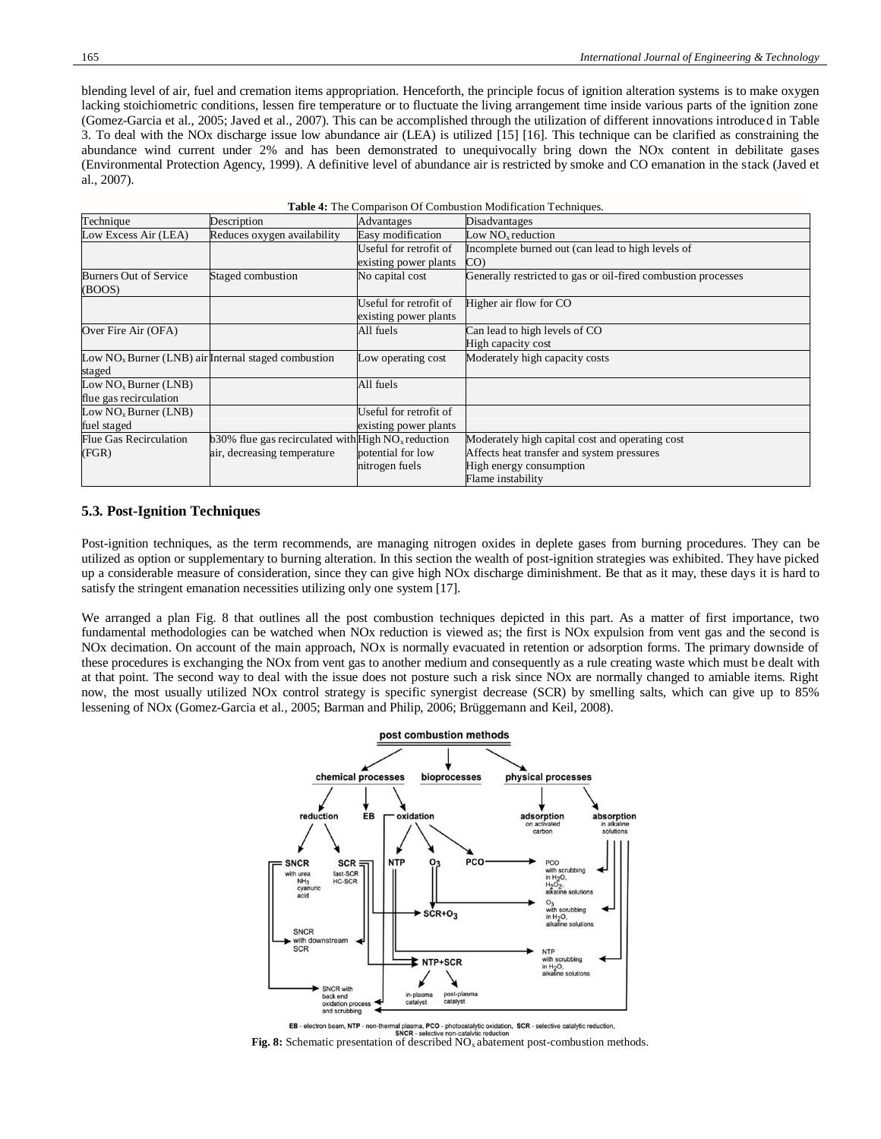blending level of air, fuel and cremation items appropriation. Henceforth, the principle focus of ignition alteration systems is to make oxygen lacking stoichiometric conditions, lessen fire temperature or to fluctuate the living arrangement time inside various parts of the ignition zone (Gomez-Garcia et al., 2005; Javed et al., 2007). This can be accomplished through the utilization of different innovations introduced in Table 3. To deal with the NOx discharge issue low abundance air (LEA) is utilized [15] [16]. This technique can be clarified as constraining the abundance wind current under 2% and has been demonstrated to unequivocally bring down the NOx content in debilitate gases (Environmental Protection Agency, 1999). A definitive level of abundance air is restricted by smoke and CO emanation in the stack (Javed et al., 2007).

| Table 4: The Comparison Of Combustion Modification Techniques. |                                                                   |                        |                                                               |
|----------------------------------------------------------------|-------------------------------------------------------------------|------------------------|---------------------------------------------------------------|
| Technique                                                      | Description                                                       | Advantages             | Disadvantages                                                 |
| Low Excess Air (LEA)                                           | Reduces oxygen availability                                       | Easy modification      | Low $NOx$ reduction                                           |
|                                                                |                                                                   | Useful for retrofit of | Incomplete burned out (can lead to high levels of             |
|                                                                |                                                                   | existing power plants  | CO)                                                           |
| Burners Out of Service<br>(BOOS)                               | Staged combustion                                                 | No capital cost        | Generally restricted to gas or oil-fired combustion processes |
|                                                                |                                                                   | Useful for retrofit of | Higher air flow for CO                                        |
|                                                                |                                                                   | existing power plants  |                                                               |
| Over Fire Air (OFA)                                            |                                                                   | All fuels              | Can lead to high levels of CO                                 |
|                                                                |                                                                   |                        | High capacity cost                                            |
|                                                                | Low $NOx Burrer$ (LNB) air Internal staged combustion             | Low operating cost     | Moderately high capacity costs                                |
| staged                                                         |                                                                   |                        |                                                               |
| Low $NOx Burner$ (LNB)                                         |                                                                   | All fuels              |                                                               |
| flue gas recirculation                                         |                                                                   |                        |                                                               |
| Low $NOx Burner (LNB)$                                         |                                                                   | Useful for retrofit of |                                                               |
| fuel staged                                                    |                                                                   | existing power plants  |                                                               |
| Flue Gas Recirculation                                         | $b30\%$ flue gas recirculated with High NO <sub>x</sub> reduction |                        | Moderately high capital cost and operating cost               |
| (FGR)                                                          | air, decreasing temperature                                       | potential for low      | Affects heat transfer and system pressures                    |
|                                                                |                                                                   | nitrogen fuels         | High energy consumption                                       |
|                                                                |                                                                   |                        | Flame instability                                             |

#### **5.3. Post-Ignition Techniques**

Post-ignition techniques, as the term recommends, are managing nitrogen oxides in deplete gases from burning procedures. They can be utilized as option or supplementary to burning alteration. In this section the wealth of post-ignition strategies was exhibited. They have picked up a considerable measure of consideration, since they can give high NOx discharge diminishment. Be that as it may, these days it is hard to satisfy the stringent emanation necessities utilizing only one system [17].

We arranged a plan Fig. 8 that outlines all the post combustion techniques depicted in this part. As a matter of first importance, two fundamental methodologies can be watched when NOx reduction is viewed as; the first is NOx expulsion from vent gas and the second is NOx decimation. On account of the main approach, NOx is normally evacuated in retention or adsorption forms. The primary downside of these procedures is exchanging the NOx from vent gas to another medium and consequently as a rule creating waste which must be dealt with at that point. The second way to deal with the issue does not posture such a risk since NOx are normally changed to amiable items. Right now, the most usually utilized NOx control strategy is specific synergist decrease (SCR) by smelling salts, which can give up to 85% lessening of NOx (Gomez-Garcia et al., 2005; Barman and Philip, 2006; Brüggemann and Keil, 2008).



**FIG. 8:** Selectron beam, NTP - non-thermal plasma, PCO - photocatalytic oxidation, SCR - selective catalytic reduction.<br> **Fig. 8:** Schematic presentation of described NO<sub>x</sub> abatement post-combustion methods.